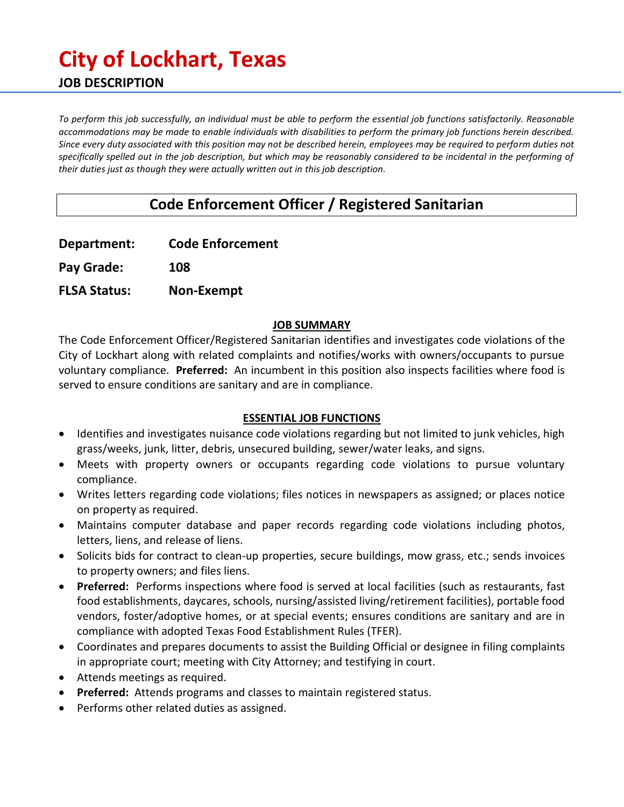# **City of Lockhart, Texas JOB DESCRIPTION**

*To perform this job successfully, an individual must be able to perform the essential job functions satisfactorily. Reasonable accommodations may be made to enable individuals with disabilities to perform the primary job functions herein described. Since every duty associated with this position may not be described herein, employees may be required to perform duties not specifically spelled out in the job description, but which may be reasonably considered to be incidental in the performing of their duties just as though they were actually written out in this job description.*

# **Code Enforcement Officer / Registered Sanitarian**

| <b>Code Enforcement</b> |
|-------------------------|
|                         |

**Pay Grade: 108**

**FLSA Status: Non-Exempt**

#### **JOB SUMMARY**

The Code Enforcement Officer/Registered Sanitarian identifies and investigates code violations of the City of Lockhart along with related complaints and notifies/works with owners/occupants to pursue voluntary compliance. **Preferred:** An incumbent in this position also inspects facilities where food is served to ensure conditions are sanitary and are in compliance.

#### **ESSENTIAL JOB FUNCTIONS**

- Identifies and investigates nuisance code violations regarding but not limited to junk vehicles, high grass/weeks, junk, litter, debris, unsecured building, sewer/water leaks, and signs.
- Meets with property owners or occupants regarding code violations to pursue voluntary compliance.
- Writes letters regarding code violations; files notices in newspapers as assigned; or places notice on property as required.
- Maintains computer database and paper records regarding code violations including photos, letters, liens, and release of liens.
- Solicits bids for contract to clean-up properties, secure buildings, mow grass, etc.; sends invoices to property owners; and files liens.
- **Preferred:** Performs inspections where food is served at local facilities (such as restaurants, fast food establishments, daycares, schools, nursing/assisted living/retirement facilities), portable food vendors, foster/adoptive homes, or at special events; ensures conditions are sanitary and are in compliance with adopted Texas Food Establishment Rules (TFER).
- Coordinates and prepares documents to assist the Building Official or designee in filing complaints in appropriate court; meeting with City Attorney; and testifying in court.
- Attends meetings as required.
- **Preferred:** Attends programs and classes to maintain registered status.
- Performs other related duties as assigned.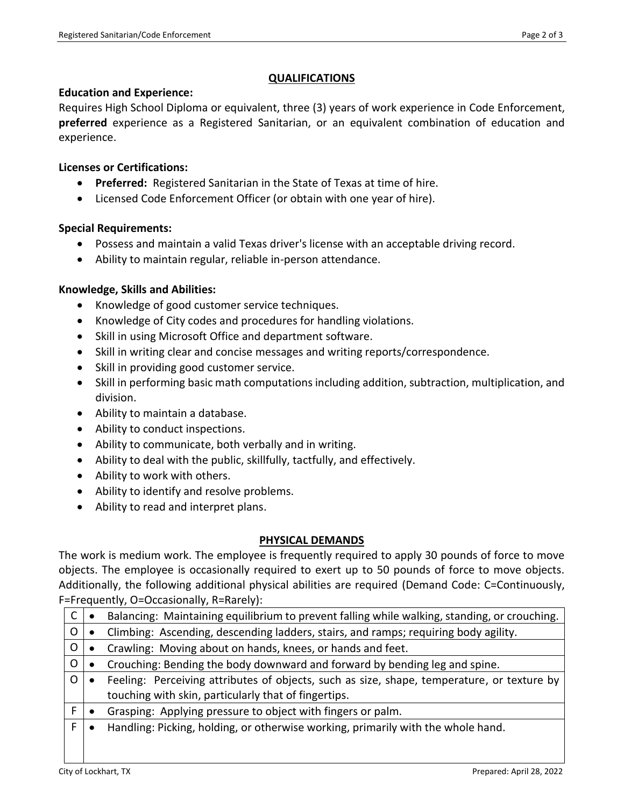## **QUALIFICATIONS**

#### **Education and Experience:**

Requires High School Diploma or equivalent, three (3) years of work experience in Code Enforcement, **preferred** experience as a Registered Sanitarian, or an equivalent combination of education and experience.

# **Licenses or Certifications:**

- **Preferred:** Registered Sanitarian in the State of Texas at time of hire.
- Licensed Code Enforcement Officer (or obtain with one year of hire).

## **Special Requirements:**

- Possess and maintain a valid Texas driver's license with an acceptable driving record.
- Ability to maintain regular, reliable in-person attendance.

# **Knowledge, Skills and Abilities:**

- Knowledge of good customer service techniques.
- Knowledge of City codes and procedures for handling violations.
- Skill in using Microsoft Office and department software.
- Skill in writing clear and concise messages and writing reports/correspondence.
- Skill in providing good customer service.
- Skill in performing basic math computations including addition, subtraction, multiplication, and division.
- Ability to maintain a database.
- Ability to conduct inspections.
- Ability to communicate, both verbally and in writing.
- Ability to deal with the public, skillfully, tactfully, and effectively.
- Ability to work with others.
- Ability to identify and resolve problems.
- Ability to read and interpret plans.

# **PHYSICAL DEMANDS**

The work is medium work. The employee is frequently required to apply 30 pounds of force to move objects. The employee is occasionally required to exert up to 50 pounds of force to move objects. Additionally, the following additional physical abilities are required (Demand Code: C=Continuously, F=Frequently, O=Occasionally, R=Rarely):

| C | Balancing: Maintaining equilibrium to prevent falling while walking, standing, or crouching. |
|---|----------------------------------------------------------------------------------------------|
| 0 | Climbing: Ascending, descending ladders, stairs, and ramps; requiring body agility.          |
| 0 | Crawling: Moving about on hands, knees, or hands and feet.                                   |
| O | Crouching: Bending the body downward and forward by bending leg and spine.                   |
| O | Feeling: Perceiving attributes of objects, such as size, shape, temperature, or texture by   |
|   | touching with skin, particularly that of fingertips.                                         |
|   | Grasping: Applying pressure to object with fingers or palm.                                  |
| F | Handling: Picking, holding, or otherwise working, primarily with the whole hand.             |
|   |                                                                                              |
|   |                                                                                              |